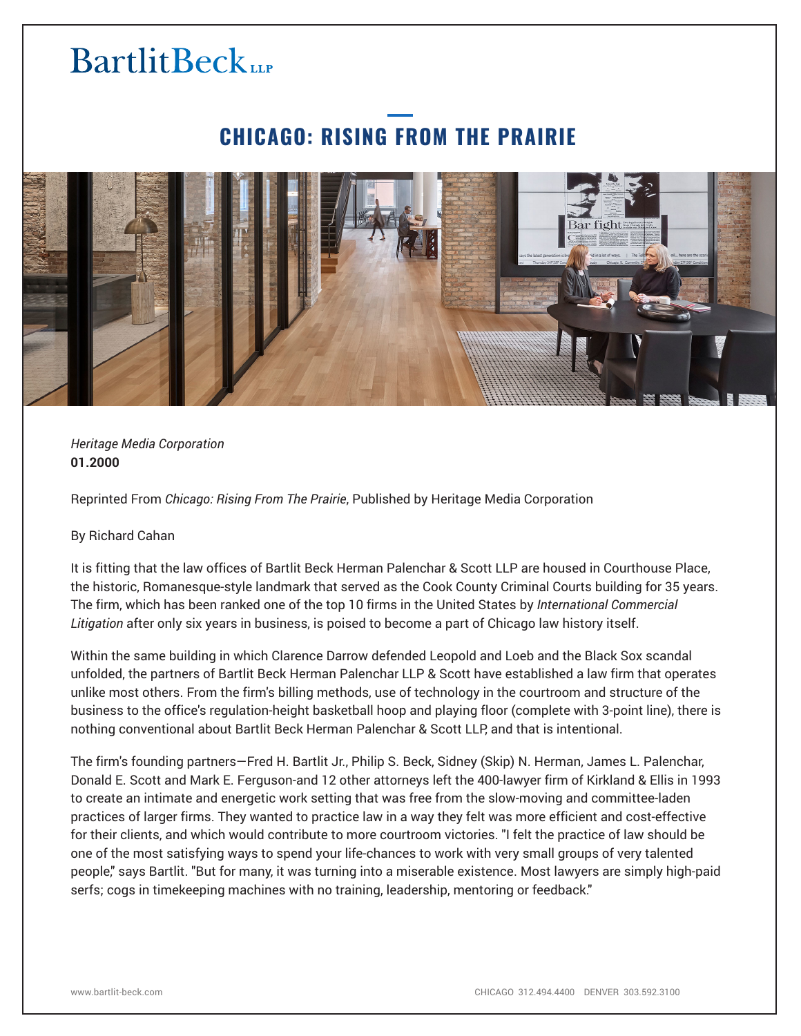# **BartlitBeck**

### **CHICAGO: RISING FROM THE PRAIRIE**



*Heritage Media Corporation* **01.2000**

Reprinted From *Chicago: Rising From The Prairie*, Published by Heritage Media Corporation

#### By Richard Cahan

It is fitting that the law offices of Bartlit Beck Herman Palenchar & Scott LLP are housed in Courthouse Place, the historic, Romanesque-style landmark that served as the Cook County Criminal Courts building for 35 years. The firm, which has been ranked one of the top 10 firms in the United States by *International Commercial Litigation* after only six years in business, is poised to become a part of Chicago law history itself.

Within the same building in which Clarence Darrow defended Leopold and Loeb and the Black Sox scandal unfolded, the partners of Bartlit Beck Herman Palenchar LLP & Scott have established a law firm that operates unlike most others. From the firm's billing methods, use of technology in the courtroom and structure of the business to the office's regulation-height basketball hoop and playing floor (complete with 3-point line), there is nothing conventional about Bartlit Beck Herman Palenchar & Scott LLP, and that is intentional.

The firm's founding partners—Fred H. Bartlit Jr., Philip S. Beck, Sidney (Skip) N. Herman, James L. Palenchar, Donald E. Scott and Mark E. Ferguson-and 12 other attorneys left the 400-lawyer firm of Kirkland & Ellis in 1993 to create an intimate and energetic work setting that was free from the slow-moving and committee-laden practices of larger firms. They wanted to practice law in a way they felt was more efficient and cost-effective for their clients, and which would contribute to more courtroom victories. "I felt the practice of law should be one of the most satisfying ways to spend your life-chances to work with very small groups of very talented people," says Bartlit. "But for many, it was turning into a miserable existence. Most lawyers are simply high-paid serfs; cogs in timekeeping machines with no training, leadership, mentoring or feedback."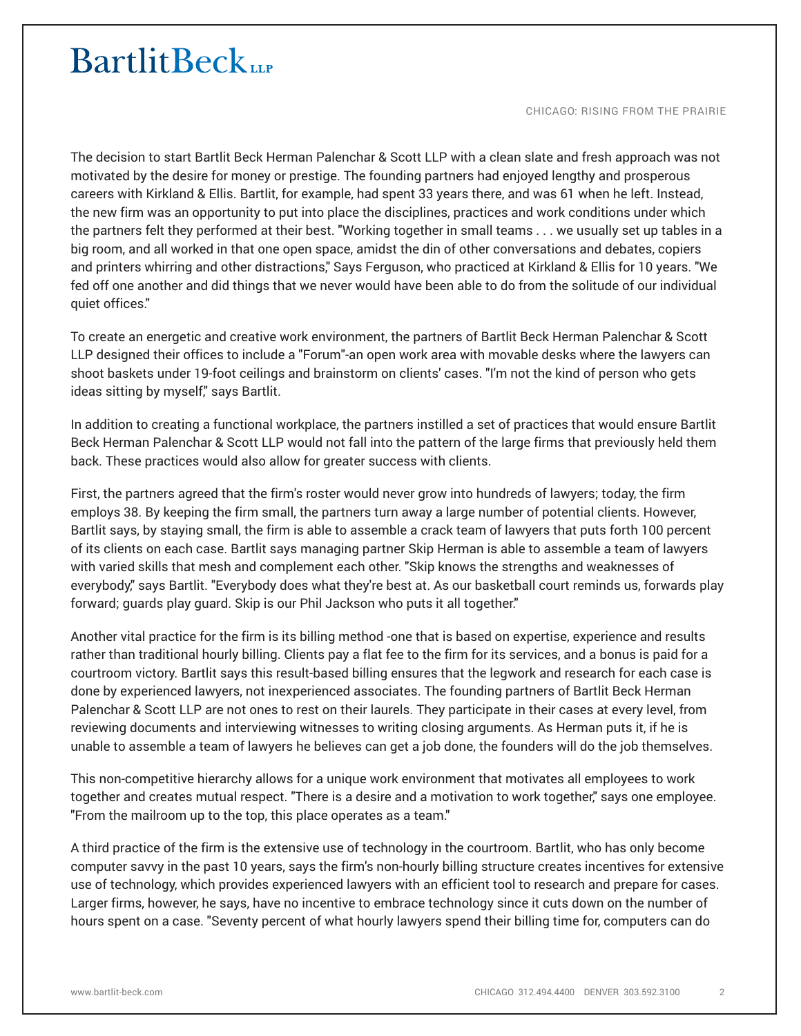## **BartlitBeck**

CHICAGO: RISING FROM THE PRAIRIE

The decision to start Bartlit Beck Herman Palenchar & Scott LLP with a clean slate and fresh approach was not motivated by the desire for money or prestige. The founding partners had enjoyed lengthy and prosperous careers with Kirkland & Ellis. Bartlit, for example, had spent 33 years there, and was 61 when he left. Instead, the new firm was an opportunity to put into place the disciplines, practices and work conditions under which the partners felt they performed at their best. "Working together in small teams . . . we usually set up tables in a big room, and all worked in that one open space, amidst the din of other conversations and debates, copiers and printers whirring and other distractions," Says Ferguson, who practiced at Kirkland & Ellis for 10 years. "We fed off one another and did things that we never would have been able to do from the solitude of our individual quiet offices."

To create an energetic and creative work environment, the partners of Bartlit Beck Herman Palenchar & Scott LLP designed their offices to include a "Forum"-an open work area with movable desks where the lawyers can shoot baskets under 19-foot ceilings and brainstorm on clients' cases. "I'm not the kind of person who gets ideas sitting by myself," says Bartlit.

In addition to creating a functional workplace, the partners instilled a set of practices that would ensure Bartlit Beck Herman Palenchar & Scott LLP would not fall into the pattern of the large firms that previously held them back. These practices would also allow for greater success with clients.

First, the partners agreed that the firm's roster would never grow into hundreds of lawyers; today, the firm employs 38. By keeping the firm small, the partners turn away a large number of potential clients. However, Bartlit says, by staying small, the firm is able to assemble a crack team of lawyers that puts forth 100 percent of its clients on each case. Bartlit says managing partner Skip Herman is able to assemble a team of lawyers with varied skills that mesh and complement each other. "Skip knows the strengths and weaknesses of everybody," says Bartlit. "Everybody does what they're best at. As our basketball court reminds us, forwards play forward; guards play guard. Skip is our Phil Jackson who puts it all together."

Another vital practice for the firm is its billing method -one that is based on expertise, experience and results rather than traditional hourly billing. Clients pay a flat fee to the firm for its services, and a bonus is paid for a courtroom victory. Bartlit says this result-based billing ensures that the legwork and research for each case is done by experienced lawyers, not inexperienced associates. The founding partners of Bartlit Beck Herman Palenchar & Scott LLP are not ones to rest on their laurels. They participate in their cases at every level, from reviewing documents and interviewing witnesses to writing closing arguments. As Herman puts it, if he is unable to assemble a team of lawyers he believes can get a job done, the founders will do the job themselves.

This non-competitive hierarchy allows for a unique work environment that motivates all employees to work together and creates mutual respect. "There is a desire and a motivation to work together," says one employee. "From the mailroom up to the top, this place operates as a team."

A third practice of the firm is the extensive use of technology in the courtroom. Bartlit, who has only become computer savvy in the past 10 years, says the firm's non-hourly billing structure creates incentives for extensive use of technology, which provides experienced lawyers with an efficient tool to research and prepare for cases. Larger firms, however, he says, have no incentive to embrace technology since it cuts down on the number of hours spent on a case. "Seventy percent of what hourly lawyers spend their billing time for, computers can do